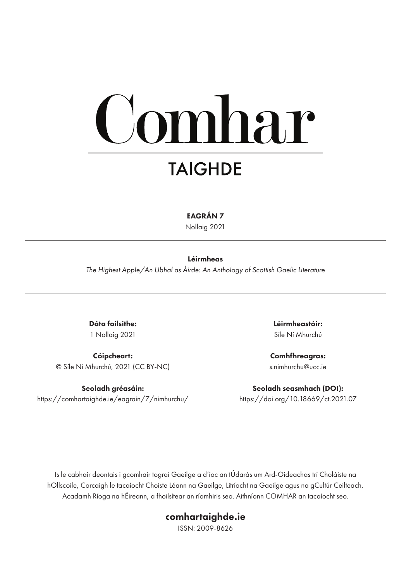# mhar **TAIGHDE**

EAGRÁN 7

Nollaig 2021

#### Léirmheas

*The Highest Apple/An Ubhal as Àirde: An Anthology of Scottish Gaelic Literature*

Dáta foilsithe: 1 Nollaig 2021

Cóipcheart: © Síle Ní Mhurchú, 2021 (CC BY-NC)

Seoladh gréasáin: https://comhartaighde.ie/eagrain/7/nimhurchu/ Léirmheastóir: Síle Ní Mhurchú

Comhfhreagras: s.nimhurchu@ucc.ie

Seoladh seasmhach (DOI): https://doi.org/10.18669/ct.2021.07

Is le cabhair deontais i gcomhair tograí Gaeilge a d'íoc an tÚdarás um Ard-Oideachas trí Choláiste na hOllscoile, Corcaigh le tacaíocht Choiste Léann na Gaeilge, Litríocht na Gaeilge agus na gCultúr Ceilteach, Acadamh Ríoga na hÉireann, a fhoilsítear an ríomhiris seo. Aithníonn COMHAR an tacaíocht seo.

#### comhartaighde.ie

ISSN: 2009-8626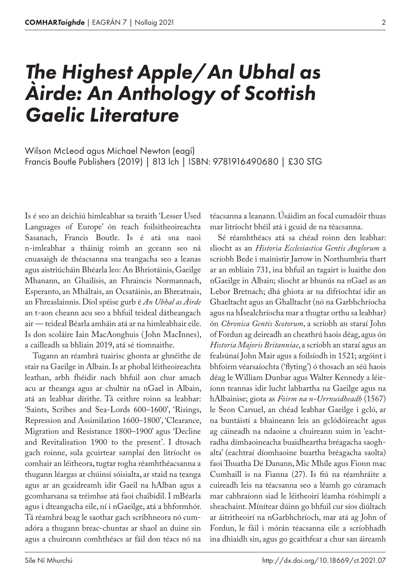## *The Highest Apple/An Ubhal as Àirde: An Anthology of Scottish Gaelic Literature*

Francis Boutle Publishers (2019) | 813 lch | ISBN: 9781916490680 | £30 STG Wilson McLeod agus Michael Newton (eagí)

Is é seo an deichiú himleabhar sa tsraith 'Lesser Used Languages of Europe' ón teach foilsitheoireachta Sasanach, Francis Boutle. Is é atá sna naoi n‑imleabhar a tháinig roimh an gceann seo ná cnuasaigh de théacsanna sna teangacha seo a leanas agus aistriúcháin Bhéarla leo: An Bhriotáinis, Gaeilge Mhanann, an Ghailísis, an Fhraincis Normannach, Esperanto, an Mháltais, an Ocsatáinis, an Bhreatnais, an Fhreaslainnis. Díol spéise gurb é *An Ubhal as Àirde* an t‑aon cheann acu seo a bhfuil teideal dátheangach air — teideal Béarla amháin atá ar na himleabhair eile. Is don scoláire Iain MacAonghuis ( John MacInnes), a cailleadh sa bhliain 2019, atá sé tiomnaithe.

Tugann an réamhrá tuairisc ghonta ar ghnéithe de stair na Gaeilge in Albain. Is ar phobal léitheoireachta leathan, arbh fhéidir nach bhfuil aon chur amach acu ar theanga agus ar chultúr na nGael in Albain, atá an leabhar dírithe. Tá ceithre roinn sa leabhar: 'Saints, Scribes and Sea-Lords 600–1600', 'Risings, Repression and Assimilation 1600–1800', 'Clearance, Migration and Resistance 1800–1900' agus 'Decline and Revitalisation 1900 to the present'. I dtosach gach roinne, sula gcuirtear samplaí den litríocht os comhair an léitheora, tugtar rogha réamhthéacsanna a thugann léargas ar chúinsí sóisialta, ar staid na teanga agus ar an gcaidreamh idir Gaeil na hAlban agus a gcomharsana sa tréimhse atá faoi chaibidil. I mBéarla agus i dteangacha eile, ní i nGaeilge, atá a bhformhór. Tá réamhrá beag le saothar gach scríbhneora nó cumadóra a thugann breac-chuntas ar shaol an duine sin agus a chuireann comhthéacs ar fáil don téacs nó na

téacsanna a leanann. Úsáidim an focal cumadóir thuas mar litríocht bhéil atá i gcuid de na téacsanna.

Sé réamhthéacs atá sa chéad roinn den leabhar: sliocht as an *Historia Ecclesiastica Gentis Anglorum* a scríobh Bede i mainistir Jarrow in Northumbria thart ar an mbliain 731, ina bhfuil an tagairt is luaithe don nGaeilge in Albain; sliocht ar bhunús na nGael as an Lebor Bretnach; dhá ghiota ar na difríochtaí idir an Ghaeltacht agus an Ghalltacht (nó na Garbhchríocha agus na hÍsealchríocha mar a thugtar orthu sa leabhar) ón *Chronica Gentis Scotorum*, a scríobh an staraí John of Fordun ag deireadh an cheathrú haois déag, agus ón *Historia Majoris Britanniae*, a scríobh an staraí agus an fealsúnaí John Mair agus a foilsíodh in 1521; argóint i bhfoirm véarsaíochta ('flyting') ó thosach an séú haois déag le William Dunbar agus Walter Kennedy a léiríonn teannas idir lucht labhartha na Gaeilge agus na hAlbainise; giota as *Foirm na n‑Urrnuidheadh* (1567) le Seon Carsuel, an chéad leabhar Gaeilge i gcló, ar na buntáistí a bhaineann leis an gclódóireacht agus ag cáineadh na ndaoine a chuireann suim in 'eachtradha dímhaoineacha buaidheartha bréagacha saoghalta' (eachtraí díomhaoine buartha bréagacha saolta) faoi Thuatha Dé Danann, Mic Mhíle agus Fionn mac Cumhaill is na Fianna (27). Is fiú na réamhráite a cuireadh leis na téacsanna seo a léamh go cúramach mar cabhraíonn siad le léitheoirí léamha róshimplí a sheachaint. Mínítear dúinn go bhfuil cur síos diúltach ar áitritheoirí na nGarbhchríoch, mar atá ag John of Fordun, le fáil i mórán téacsanna eile a scríobhadh ina dhiaidh sin, agus go gcaithfear a chur san áireamh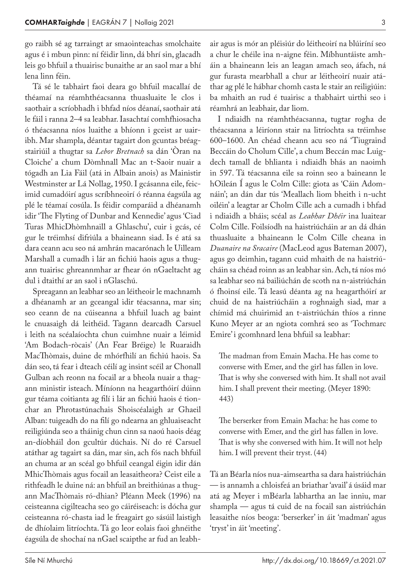go raibh sé ag tarraingt ar smaointeachas smolchaite agus é i mbun pinn: ní féidir linn, dá bhrí sin, glacadh leis go bhfuil a thuairisc bunaithe ar an saol mar a bhí lena linn féin.

Tá sé le tabhairt faoi deara go bhfuil macallaí de théamaí na réamhthéacsanna thuasluaite le clos i saothair a scríobhadh i bhfad níos déanaí, saothair atá le fáil i ranna 2–4 sa leabhar. Iasachtaí comhfhiosacha ó théacsanna níos luaithe a bhíonn i gceist ar uair‑ ibh. Mar shampla, déantar tagairt don gcuntas bréagstairiúil a thugtar sa *Lebor Bretnach* sa dán 'Òran na Cloiche' a chum Dòmhnall Mac an t‑Saoir nuair a tógadh an Lia Fáil (atá in Albain anois) as Mainistir Westminster ar Lá Nollag, 1950. I gcásanna eile, feicimid cumadóirí agus scríbhneoirí ó réanna éagsúla ag plé le téamaí cosúla. Is féidir comparáid a dhéanamh idir 'The Flyting of Dunbar and Kennedie' agus 'Ciad Turas MhicDhòmhnaill a Ghlaschu', cuir i gcás, cé gur le tréimhsí difriúla a bhaineann siad. Is é atá sa dara ceann acu seo ná amhrán macarónach le Uilleam Marshall a cumadh i lár an fichiú haois agus a thugann tuairisc ghreannmhar ar fhear ón nGaeltacht ag dul i dtaithí ar an saol i nGlaschú.

Spreagann an leabhar seo an léitheoir le machnamh a dhéanamh ar an gceangal idir téacsanna, mar sin; seo ceann de na cúiseanna a bhfuil luach ag baint le cnuasaigh dá leithéid. Tagann dearcadh Carsuel i leith na scéalaíochta chun cuimhne nuair a léimid 'Am Bodach-ròcais' (An Fear Bréige) le Ruaraidh MacThòmais, duine de mhórfhilí an fichiú haois. Sa dán seo, tá fear i dteach céilí ag insint scéil ar Chonall Gulban ach reonn na focail ar a bheola nuair a thagann ministir isteach. Míníonn na heagarthóirí dúinn gur téama coitianta ag filí i lár an fichiú haois é tionchar an Phrotastúnachais Shoiscéalaigh ar Ghaeil Alban: tuigeadh do na filí go ndearna an ghluaiseacht reiligiúnda seo a tháinig chun cinn sa naoú haois déag an-díobháil don gcultúr dúchais. Ní do ré Carsuel atáthar ag tagairt sa dán, mar sin, ach fós nach bhfuil an chuma ar an scéal go bhfuil ceangal éigin idir dán MhicThòmais agus focail an leasaitheora? Ceist eile a rithfeadh le duine ná: an bhfuil an breithiúnas a thugann MacThòmais ró-dhian? Pléann Meek (1996) na ceisteanna cigilteacha seo go cáiréiseach: is dócha gur ceisteanna ró-chasta iad le freagairt go sásúil laistigh de dhíolaim litríochta. Tá go leor eolais faoi ghnéithe éagsúla de shochaí na nGael scaipthe ar fud an leabhair agus is mór an pléisiúr do léitheoirí na blúiríní seo a chur le chéile ina n-aigne féin. Míbhuntáiste amháin a bhaineann leis an leagan amach seo, áfach, ná gur furasta mearbhall a chur ar léitheoirí nuair atáthar ag plé le hábhar chomh casta le stair an reiligiúin: ba mhaith an rud é tuairisc a thabhairt uirthi seo i réamhrá an leabhair, dar liom.

I ndiaidh na réamhthéacsanna, tugtar rogha de théacsanna a léiríonn stair na litríochta sa tréimhse 600–1600. An chéad cheann acu seo ná 'Tiugraind Beccáin do Cholum Cille', a chum Beccán mac Luigdech tamall de bhlianta i ndiaidh bhás an naoimh in 597. Tá téacsanna eile sa roinn seo a baineann le hOileán Í agus le Colm Cille: giota as 'Cáin Adomnáin'; an dán dar tús 'Meallach liom bheith i n‑ucht oiléin' a leagtar ar Cholm Cille ach a cumadh i bhfad i ndiaidh a bháis; scéal as *Leabhar Dhéir* ina luaitear Colm Cille. Foilsíodh na haistriúcháin ar an dá dhán thuasluaite a bhaineann le Colm Cille cheana in *Duanaire na Sracaire* (MacLeod agus Bateman 2007), agus go deimhin, tagann cuid mhaith de na haistriúcháin sa chéad roinn as an leabhar sin. Ach, tá níos mó sa leabhar seo ná bailiúchán de scoth na n-aistriúchán ó fhoinsí eile. Tá leasú déanta ag na heagarthóirí ar chuid de na haistriúcháin a roghnaigh siad, mar a chímid má chuirimid an t‑aistriúchán thíos a rinne Kuno Meyer ar an ngiota comhrá seo as 'Tochmarc Emire' i gcomhnard lena bhfuil sa leabhar:

The madman from Emain Macha. He has come to converse with Emer, and the girl has fallen in love. That is why she conversed with him. It shall not avail him. I shall prevent their meeting. (Meyer 1890: 443)

The berserker from Emain Macha: he has come to converse with Emer, and the girl has fallen in love. That is why she conversed with him. It will not help him. I will prevent their tryst. (44)

Tá an Béarla níos nua-aimseartha sa dara haistriúchán — is annamh a chloisfeá an briathar 'avail' á úsáid mar atá ag Meyer i mBéarla labhartha an lae inniu, mar shampla — agus tá cuid de na focail san aistriúchán leasaithe níos beoga: 'berserker' in áit 'madman' agus 'tryst' in áit 'meeting'.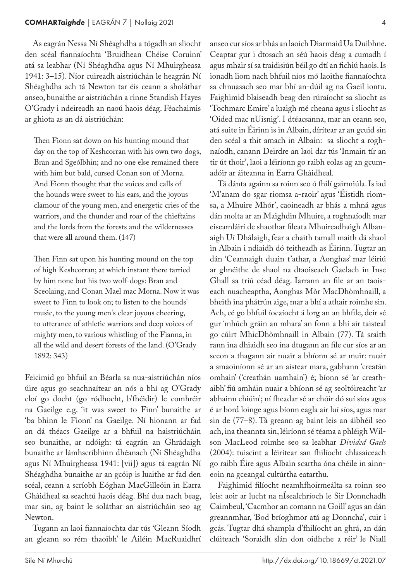As eagrán Nessa Ní Shéaghdha a tógadh an sliocht den scéal fiannaíochta 'Bruidhean Chéise Coruinn' atá sa leabhar (Ní Shéaghdha agus Ní Mhuirgheasa 1941: 3–15). Níor cuireadh aistriúchán le heagrán Ní Shéaghdha ach tá Newton tar éis ceann a sholáthar anseo, bunaithe ar aistriúchán a rinne Standish Hayes O'Grady i ndeireadh an naoú haois déag. Féachaimis ar ghiota as an dá aistriúchán:

Then Fionn sat down on his hunting mound that day on the top of Keshcorran with his own two dogs, Bran and Sgeólbhin; and no one else remained there with him but bald, cursed Conan son of Morna. And Fionn thought that the voices and calls of the hounds were sweet to his ears, and the joyous clamour of the young men, and energetic cries of the warriors, and the thunder and roar of the chieftains and the lords from the forests and the wildernesses that were all around them. (147)

Then Finn sat upon his hunting mound on the top of high Keshcorran; at which instant there tarried by him none but his two wolf-dogs: Bran and Sceolaing, and Conan Mael mac Morna. Now it was sweet to Finn to look on; to listen to the hounds' music, to the young men's clear joyous cheering, to utterance of athletic warriors and deep voices of mighty men, to various whistling of the Fianna, in all the wild and desert forests of the land. (O'Grady 1892: 343)

Feicimid go bhfuil an Béarla sa nua-aistriúchán níos úire agus go seachnaítear an nós a bhí ag O'Grady cloí go docht (go ródhocht, b'fhéidir) le comhréir na Gaeilge e.g. 'it was sweet to Finn' bunaithe ar 'ba bhinn le Fionn' na Gaeilge. Ní hionann ar fad an dá théacs Gaeilge ar a bhfuil na haistriúcháin seo bunaithe, ar ndóigh: tá eagrán an Ghrádaigh bunaithe ar lámhscríbhinn dhéanach (Ní Shéaghdha agus Ní Mhuirgheasa 1941: [vii]) agus tá eagrán Ní Shéaghdha bunaithe ar an gcóip is luaithe ar fad den scéal, ceann a scríobh Eóghan MacGilleóin in Earra Ghàidheal sa seachtú haois déag. Bhí dua nach beag, mar sin, ag baint le soláthar an aistriúcháin seo ag Newton.

Tugann an laoi fiannaíochta dar tús 'Gleann Síodh an gleann so rém thaoibh' le Ailéin MacRuaidhrí anseo cur síos ar bhás an laoich Diarmaid Ua Duibhne. Ceaptar gur i dtosach an séú haois déag a cumadh í agus mhair sí sa traidisiún béil go dtí an fichiú haois. Is ionadh liom nach bhfuil níos mó laoithe fiannaíochta sa chnuasach seo mar bhí an-dúil ag na Gaeil iontu. Faighimid blaiseadh beag den rúraíocht sa sliocht as 'Tochmarc Emire' a luaigh mé cheana agus i sliocht as 'Oided mac nUisnig'. I dtéacsanna, mar an ceann seo, atá suite in Éirinn is in Albain, dírítear ar an gcuid sin den scéal a thit amach in Albain: sa sliocht a roghnaíodh, canann Deirdre an laoi dar tús 'Inmain tír an tir út thoir', laoi a léiríonn go raibh eolas ag an gcumadóir ar áiteanna in Earra Ghàidheal.

Tá dánta againn sa roinn seo ó fhilí gairmiúla. Is iad 'M'anam do sgar riomsa a-raoir' agus 'Éistidh riom‑ sa, a Mhuire Mhór', caoineadh ar bhás a mhná agus dán molta ar an Maighdin Mhuire, a roghnaíodh mar eiseamláirí de shaothar fileata Mhuireadhaigh Albanaigh Uí Dhálaigh, fear a chaith tamall maith dá shaol in Albain i ndiaidh dó teitheadh as Éirinn. Tugtar an dán 'Ceannaigh duain t'athar, a Aonghas' mar léiriú ar ghnéithe de shaol na dtaoiseach Gaelach in Inse Ghall sa tríú céad déag. Iarrann an file ar an taoiseach nuacheaptha, Aonghas Mòr MacDhòmhnaill, a bheith ina phátrún aige, mar a bhí a athair roimhe sin. Ach, cé go bhfuil íocaíocht á lorg an an bhfile, deir sé gur 'mhúch gráin an mhara' an fonn a bhí air taisteal go cúirt MhicDhòmhnaill in Albain (77). Tá sraith rann ina dhiaidh seo ina dtugann an file cur síos ar an sceon a thagann air nuair a bhíonn sé ar muir: nuair a smaoiníonn sé ar an aistear mara, gabhann 'creatán omhain' ('creathán uamhain') é; bíonn sé 'ar creath‑ aibh' fiú amháin nuair a bhíonn sé ag seoltóireacht 'ar abhainn chiúin'; ní fheadar sé ar chóir dó suí síos agus é ar bord loinge agus bíonn eagla air luí síos, agus mar sin de (77–8). Tá greann ag baint leis an áibhéil seo ach, ina theannta sin, léiríonn sé téama a phléigh Wilson MacLeod roimhe seo sa leabhar *Divided Gaels* (2004): tuiscint a léirítear san fhilíocht chlasaiceach go raibh Éire agus Albain scartha óna chéile in ainn‑ eoin na gceangal cultúrtha eatarthu.

Faighimid filíocht neamhfhoirmeálta sa roinn seo leis: aoir ar lucht na nÍsealchríoch le Sir Donnchadh Caimbeul, 'Cacmhor an comann na Goill' agus an dán greannmhar, 'Bod bríoghmor atá ag Donncha', cuir i gcás. Tugtar dhá shampla d'fhilíocht an ghrá, an dán clúiteach 'Soraidh slán don oidhche a réir' le Niall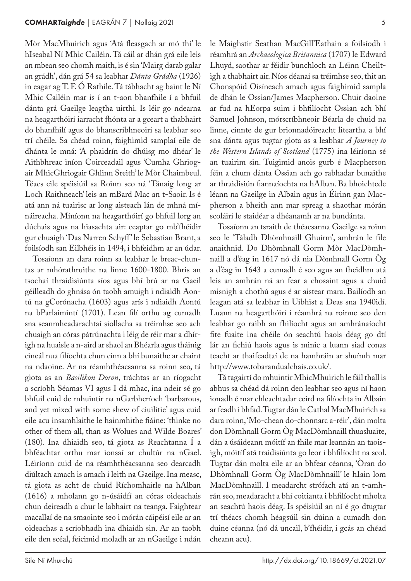Mòr MacMhuirich agus 'Atá fleasgach ar mó thí' le hIseabal Ní Mhic Cailéin. Tá cáil ar dhán grá eile leis an mbean seo chomh maith, is é sin 'Mairg darab galar an grádh', dán grá 54 sa leabhar *Dánta Grádha* (1926) in eagar ag T. F. Ó Rathile. Tá tábhacht ag baint le Ní Mhic Cailéin mar is í an t‑aon bhanfhile í a bhfuil dánta grá Gaeilge leagtha uirthi. Is léir go ndearna na heagarthóirí iarracht fhónta ar a gceart a thabhairt do bhanfhilí agus do bhanscríbhneoirí sa leabhar seo trí chéile. Sa chéad roinn, faighimid samplaí eile de dhánta le mná: 'A phaidrín do dhúisg mo dhéar' le Aithbhreac iníon Coirceadail agus 'Cumha Ghriogair MhicGhriogair Ghlinn Sreith' le Mòr Chaimbeul. Téacs eile spéisiúil sa Roinn seo ná 'Tánaig long ar Loch Raithneach' leis an mBard Mac an t‑Saoir. Is é atá ann ná tuairisc ar long aisteach lán de mhná mí‑ náireacha. Míníonn na heagarthóirí go bhfuil lorg an dúchais agus na hiasachta air: ceaptar go mb'fhéidir gur chuaigh 'Das Narren Schyff ' le Sebastian Brant, a foilsíodh san Eilbhéis in 1494, i bhfeidhm ar an údar.

Tosaíonn an dara roinn sa leabhar le breac-chuntas ar mhórathruithe na linne 1600-1800. Bhris an tsochaí thraidisiúnta síos agus bhí brú ar na Gaeil géilleadh do ghnása ón taobh amuigh i ndiaidh Aontú na gCorónacha (1603) agus arís i ndiaidh Aontú na bParlaimintí (1701). Lean filí orthu ag cumadh sna seanmheadarachtaí siollacha sa tréimhse seo ach chuaigh an córas pátrúnachta i léig de réir mar a dhírigh na huaisle a n‑aird ar shaol an Bhéarla agus tháinig cineál nua filíochta chun cinn a bhí bunaithe ar chaint na ndaoine. Ar na réamhthéacsanna sa roinn seo, tá giota as an *Basilikon Doron*, tráchtas ar an ríogacht a scríobh Séamas VI agus I dá mhac, ina ndeir sé go bhfuil cuid de mhuintir na nGarbhcríoch 'barbarous, and yet mixed with some shew of ciuilitie' agus cuid eile acu insamhlaithe le hainmhithe fiáine: 'thinke no other of them all, than as Wolues and Wilde Boares' (180). Ina dhiaidh seo, tá giota as Reachtanna Í a bhféachtar orthu mar ionsaí ar chultúr na nGael. Léiríonn cuid de na réamhthéacsanna seo dearcadh diúltach amach is amach i leith na Gaeilge. Ina measc, tá giota as acht de chuid Ríchomhairle na hAlban (1616) a mholann go n‑úsáidfí an córas oideachais chun deireadh a chur le labhairt na teanga. Faightear macallaí de na smaointe seo i mórán cáipéisí eile ar an oideachas a scríobhadh ina dhiaidh sin. Ar an taobh eile den scéal, feicimid moladh ar an nGaeilge i ndán

le Maighstir Seathan MacGill'Eathain a foilsíodh i réamhrá an *Archaeologica Britannica* (1707) le Edward Lhuyd, saothar ar féidir bunchloch an Léinn Cheiltigh a thabhairt air. Níos déanaí sa tréimhse seo, thit an Chonspóid Oisíneach amach agus faighimid sampla de dhán le Ossian/James Macpherson. Chuir daoine ar fud na hEorpa suim i bhfilíocht Ossian ach bhí Samuel Johnson, mórscríbhneoir Béarla de chuid na linne, cinnte de gur brionnadóireacht liteartha a bhí sna dánta agus tugtar giota as a leabhar *A Journey to the Western Islands of Scotland* (1775) ina léiríonn sé an tuairim sin. Tuigimid anois gurb é Macpherson féin a chum dánta Ossian ach go rabhadar bunaithe ar thraidisiún fiannaíochta na hAlban. Ba bhoichtede léann na Gaeilge in Albain agus in Éirinn gan Macpherson a bheith ann mar spreag a shaothar mórán scoláirí le staidéar a dhéanamh ar na bundánta.

Tosaíonn an tsraith de théacsanna Gaeilge sa roinn seo le 'Tàladh Dhòmhnaill Ghuirm', amhrán le file anaithnid. Do Dhòmhnall Gorm Mòr MacDòmhnaill a d'éag in 1617 nó dá nia Dòmhnall Gorm Òg a d'éag in 1643 a cumadh é seo agus an fheidhm atá leis an amhrán ná an fear a chosaint agus a chuid misnigh a chothú agus é ar aistear mara. Bailíodh an leagan atá sa leabhar in Uibhist a Deas sna 1940idí. Luann na heagarthóirí i réamhrá na roinne seo den leabhar go raibh an fhilíocht agus an amhránaíocht fite fuaite ina chéile ón seachtú haois déag go dtí lár an fichiú haois agus is minic a luann siad conas teacht ar thaifeadtaí de na hamhráin ar shuímh mar http://www.tobarandualchais.co.uk/.

Tá tagairtí do mhuintir MhicMhuirich le fáil thall is abhus sa chéad dá roinn den leabhar seo agus ní haon ionadh é mar chleachtadar ceird na filíochta in Albain ar feadh i bhfad. Tugtar dán le Cathal MacMhuirich sa dara roinn, 'Mo-chean do-chonnarc a-réir', dán molta don Dòmhnall Gorm Òg MacDòmhnaill thuasluaite, dán a úsáideann móitíf an fhile mar leannán an taoisigh, móitíf atá traidisiúnta go leor i bhfilíocht na scol. Tugtar dán molta eile ar an bhfear céanna, 'Òran do Dhòmhnall Gorm Òg MacDòmhnaill' le hIain lom MacDòmhnaill. I meadarcht strófach atá an t-amhrán seo, meadaracht a bhí coitianta i bhfilíocht mholta an seachtú haois déag. Is spéisiúil an ní é go dtugtar trí théacs chomh héagsúil sin dúinn a cumadh don duine céanna (nó dá uncail, b'fhéidir, i gcás an chéad cheann acu).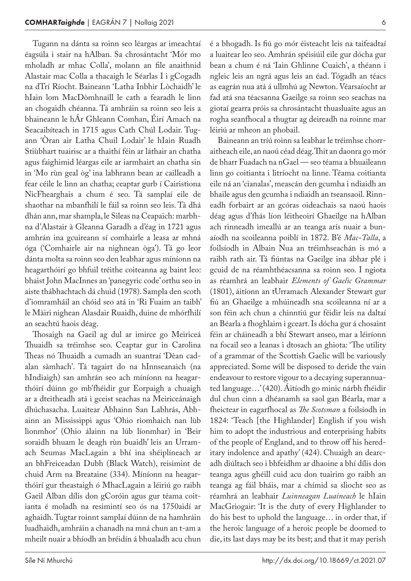Tugann na dánta sa roinn seo léargas ar imeachtaí éagsúla i stair na hAlban. Sa chrosántacht 'Mór mo mholadh ar mhac Colla', molann an file anaithnid Alastair mac Colla a thacaigh le Séarlas I i gCogadh na dTrí Ríocht. Baineann 'Latha Inbhir Lòchaidh' le hIain lom MacDòmhnaill le cath a fearadh le linn an chogaidh chéanna. Tá amhráin sa roinn seo leis a bhaineann le hÁr Ghleann Comhan, Éirí Amach na Seacaibíteach in 1715 agus Cath Chúl Lodair. Tugann 'Òran air Latha Chuil Lodair' le hIain Ruadh Stiùbhart tuairisc ar a thaithí féin ar láthair an chatha agus faighimid léargas eile ar iarmhairt an chatha sin in 'Mo rùn geal òg' ina labhrann bean ar cailleadh a fear céile le linn an chatha; ceaptar gurb í Cairistìona NicFhearghais a chum é seo. Tá samplaí eile de shaothar na mbanfhilí le fáil sa roinn seo leis. Tá dhá dhán ann, mar shampla, le Sìleas na Ceapaich: marbh‑ na d'Alastair à Gleanna Garadh a d'éag in 1721 agus amhrán ina gcuireann sí comhairle a leasa ar mhná óga ('Comhairle air na nighnean òga'). Tá go leor dánta molta sa roinn seo den leabhar agus míníonn na heagarthóirí go bhfuil tréithe coiteanna ag baint leo: bhaist John MacInnes an 'panegyric code' orthu seo in aiste thábhachtach dá chuid (1978). Sampla den scoth d'iomramháil an chóid seo atá in 'Ri Fuaim an taibh' le Màiri nighean Alasdair Ruaidh, duine de mhórfhilí an seachtú haois déag.

Thosaigh na Gaeil ag dul ar imirce go Meiriceá Thuaidh sa tréimhse seo. Ceaptar gur in Carolina Theas nó Thuaidh a cumadh an suantraí 'Dèan cadalan sàmhach'. Tá tagairt do na hInnseanaich (na hIndiaigh) san amhrán seo ach míníonn na heagarthóirí dúinn go mb'fhéidir gur Eorpaigh a chuaigh ar a dteitheadh atá i gceist seachas na Meiriceánaigh dhúchasacha. Luaitear Abhainn San Labhrás, Abh‑ ainn an Mississippi agus 'Ohio rìomhaich nan lùb lìonmhor' (Ohio álainn na lúb líonmhar) in 'Beir soraidh bhuam le deagh rùn buaidh' leis an Urramach Seumas MacLagain a bhí ina shéiplíneach ar an bhFreiceadan Dubh (Black Watch), reisimint de chuid Arm na Breataine (334). Míníonn na heagarthóirí gur theastaigh ó MhacLagain a léiriú go raibh Gaeil Alban dílis don gCoróin agus gur téama coitianta é moladh na resimintí seo ós na 1750aidí ar aghaidh. Tugtar roinnt samplaí dúinn de na hamhráin luadhaidh, amhráin a chanadh na mná chun an t‑am a mheilt nuair a bhíodh an bréidín á bhualadh acu chun

é a bhogadh. Is fiú go mór éisteacht leis na taifeadtaí a luaitear leo seo. Amhrán spéisiúil eile gur dócha gur bean a chum é ná 'Iain Ghlinne Cuaich', a théann i ngleic leis an ngrá agus leis an éad. Tógadh an téacs as eagrán nua atá á ullmhú ag Newton. Véarsaíocht ar fad atá sna téacsanna Gaeilge sa roinn seo seachas na giotaí gearra próis sa chrosántacht thuasluaite agus an rogha seanfhocal a thugtar ag deireadh na roinne mar léiriú ar mheon an phobail.

Baineann an tríú roinn sa leabhar le tréimhse chorraitheach eile, an naoú céad déag. Thit an daonra go mór de bharr Fuadach na nGael — seo téama a bhuaileann linn go coitianta i litríocht na linne. Téama coitianta eile ná an 'cianalas', meascán den gcumha i ndiaidh an bhaile agus den gcumha i ndiaidh an tseansaoil. Rinn‑ eadh forbairt ar an gcóras oideachais sa naoú haois déag agus d'fhás líon léitheoirí Ghaeilge na hAlban ach rinneadh imeallú ar an teanga arís nuair a bunaíodh na scoileanna poiblí in 1872. B'é *Mac-Talla*, a foilsíodh in Albain Nua an tréimhseachán is mó a raibh rath air. Tá fiúntas na Gaeilge ina ábhar plé i gcuid de na réamhthéacsanna sa roinn seo. I ngiota as réamhrá an leabhair *Elements of Gaelic Grammar* (1801), áitíonn an tUrramach Alexander Stewart gur fiú an Ghaeilge a mhúineadh sna scoileanna ní ar a son féin ach chun a chinntiú gur féidir leis na daltaí an Béarla a fhoghlaim i gceart. Is dócha gur á chosaint féin ar cháineadh a bhí Stewart anseo, mar a léiríonn na focail seo a leanas i dtosach an ghiota: 'The utility of a grammar of the Scottish Gaelic will be variously appreciated. Some will be disposed to deride the vain endeavour to restore vigour to a decaying superannuated language…' (420). Áitíodh go minic nárbh fhéidir dul chun cinn a dhéanamh sa saol gan Béarla, mar a fheictear in eagarfhocal as *The Scotsman* a foilsíodh in 1824: 'Teach [the Highlander] English if you wish him to adopt the industrious and enterprising habits of the people of England, and to throw off his hereditary indolence and apathy' (424). Chuaigh an dearcadh diúltach seo i bhfeidhm ar dhaoine a bhí dílis don teanga agus ghéill cuid acu don tuairim go raibh an teanga ag fáil bháis, mar a chímid sa sliocht seo as réamhrá an leabhair *Luinneagan Luaineach* le hIain MacGriogair: 'It is the duty of every Highlander to do his best to uphold the language… in order that, if the heroic language of a heroic people be doomed to die, its last days may be its best; and that it may perish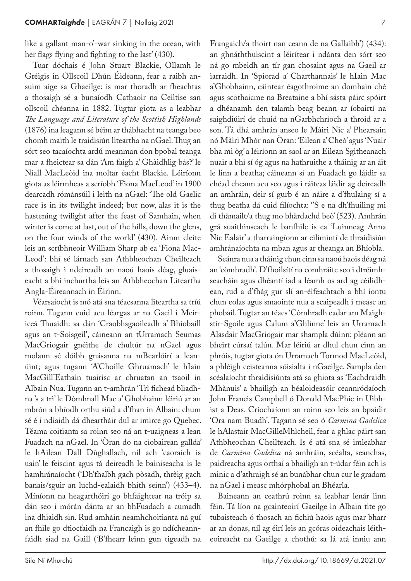like a gallant man-o'-war sinking in the ocean, with her flags flying and fighting to the last' (430).

Tuar dóchais é John Stuart Blackie, Ollamh le Gréigis in Ollscoil Dhún Éideann, fear a raibh ansuim aige sa Ghaeilge: is mar thoradh ar fheachtas a thosaigh sé a bunaíodh Cathaoir na Ceiltise san ollscoil chéanna in 1882. Tugtar giota as a leabhar *The Language and Literature of the Scottish Highlands* (1876) ina leagann sé béim ar thábhacht na teanga beo chomh maith le traidisiún liteartha na nGael. Thug an sórt seo tacaíochta ardú meanman don bpobal teanga mar a fheictear sa dán 'Am faigh a' Ghàidhlig bás?' le Niall MacLeòid ina moltar éacht Blackie. Léiríonn giota as léirmheas a scríobh 'Fiona MacLeod' in 1900 dearcadh rómánsúil i leith na nGael: 'The old Gaelic race is in its twilight indeed; but now, alas it is the hastening twilight after the feast of Samhain, when winter is come at last, out of the hills, down the glens, on the four winds of the world' (430). Ainm cleite leis an scríbhneoir William Sharp ab ea 'Fiona Mac-Leod': bhí sé lárnach san Athbheochan Cheilteach a thosaigh i ndeireadh an naoú haois déag, gluaiseacht a bhí inchurtha leis an Athbheochan Liteartha Angla-Éireannach in Éirinn.

Véarsaíocht is mó atá sna téacsanna liteartha sa tríú roinn. Tugann cuid acu léargas ar na Gaeil i Meiriceá Thuaidh: sa dán 'Craobhsgaoileadh a' Bhìobaill agus an t‑Soisgeil', cáineann an tUrramach Seumas MacGriogair gnéithe de chultúr na nGael agus molann sé dóibh gnásanna na mBearlóirí a lean‑ úint; agus tugann 'A'Choille Ghruamach' le hIain MacGill'Eathain tuairisc ar chruatan an tsaoil in Albain Nua. Tugann an t-amhrán 'Trì fichead bliadhna 's a trì' le Dòmhnall Mac a' Ghobhainn léiriú ar an mbrón a bhíodh orthu siúd a d'fhan in Albain: chum sé é i ndiaidh dá dheartháir dul ar imirce go Quebec. Téama coitianta sa roinn seo ná an t‑uaigneas a lean Fuadach na nGael. In 'Òran do na cìobairean gallda' le hAilean Dall Dùghallach, níl ach 'caoraich is uain' le feiscint agus tá deireadh le bainiseacha is le hamhránaíocht ('Dh'fhalbh gach pòsadh, thrèig gach banais/sguir an luchd-ealaidh bhith seinn') (433–4). Míníonn na heagarthóirí go bhfaightear na tróip sa dán seo i mórán dánta ar an bhFuadach a cumadh ina dhiaidh sin. Rud amháin neamhchoitianta ná guí an fhile go dtiocfaidh na Francaigh is go ndícheannfaidh siad na Gaill ('B'fhearr leinn gun tigeadh na

Frangaich/a thoirt nan ceann de na Gallaibh') (434): an ghnáththuiscint a léirítear i ndánta den sórt seo ná go mbeidh an tír gan chosaint agus na Gaeil ar iarraidh. In 'Spiorad a' Charthannais' le hIain Mac a'Ghobhainn, cáintear éagothroime an domhain ché agus scothaicme na Breataine a bhí sásta páirc spóirt a dhéanamh den talamh beag beann ar íobairtí na saighdiúirí de chuid na nGarbhchríoch a throid ar a son. Tá dhá amhrán anseo le Màiri Nic a' Phearsain nó Màiri Mhòr nan Òran: 'Eilean a' Cheò' agus 'Nuair bha mi òg' a léiríonn an saol ar an Eilean Sgitheanach nuair a bhí sí óg agus na hathruithe a tháinig ar an áit le linn a beatha; cáineann sí an Fuadach go láidir sa chéad cheann acu seo agus i ráiteas láidir ag deireadh an amhráin, deir sí gurb é an náire a d'fhulaing sí a thug beatha dá cuid filíochta: ''S e na dh'fhuiling mi di thàmailt/a thug mo bhàrdachd beò' (523). Amhrán grá suaithinseach le banfhile is ea 'Luinneag Anna Nic Ealair' a tharraingíonn ar eilimintí de thraidisiún amhránaíochta na mban agus ar theanga an Bhíobla.

Seánra nua a tháinig chun cinn sa naoú haois déag ná an 'còmhradh'. D'fhoilsítí na comhráite seo i dtréimhseacháin agus dhéantí iad a léamh os ard ag cèilidhean, rud a d'fhág gur slí an-éifeachtach a bhí iontu chun eolas agus smaointe nua a scaipeadh i measc an phobail. Tugtar an téacs 'Còmhradh eadar am Maighstir-Sgoile agus Calum a'Ghlinne' leis an Urramach Alasdair MacGriogair mar shampla dúinn: pléann an bheirt cúrsaí talún. Mar léiriú ar dhul chun cinn an phróis, tugtar giota ón Urramach Tormod MacLeòid, a phléigh ceisteanna sóisialta i nGaeilge. Sampla den scéalaíocht thraidisiúnta atá sa ghiota as 'Eachdraidh Mhànuis' a bhailigh an béaloideasóir ceannródaíoch John Francis Campbell ó Donald MacPhie in Uibhist a Deas. Críochaíonn an roinn seo leis an bpaidir 'Ora nam Buadh'. Tagann sé seo ó *Carmina Gadelica* le hAlastair MacGilleMhìcheil, fear a ghlac páirt san Athbheochan Cheilteach. Is é atá sna sé imleabhar de *Carmina Gadelica* ná amhráin, scéalta, seanchas, paidreacha agus orthaí a bhailigh an t‑údar féin ach is minic a d'athraigh sé an bunábhar chun cur le gradam na nGael i measc mhórphobal an Bhéarla.

Baineann an ceathrú roinn sa leabhar lenár linn féin. Tá líon na gcainteoirí Gaeilge in Albain tite go tubaisteach ó thosach an fichiú haois agus mar bharr ar an donas, níl ag éirí leis an gcóras oideachais léitheoireacht na Gaeilge a chothú: sa lá atá inniu ann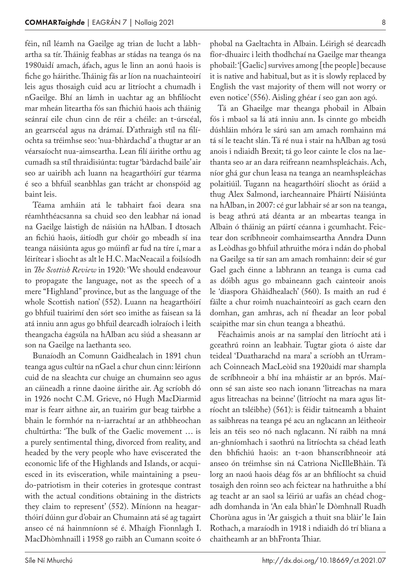féin, níl léamh na Gaeilge ag trian de lucht a labh‑ artha sa tír. Tháinig feabhas ar stádas na teanga ós na 1980aidí amach, áfach, agus le linn an aonú haois is fiche go háirithe. Tháinig fás ar líon na nuachainteoirí leis agus thosaigh cuid acu ar litríocht a chumadh i nGaeilge. Bhí an lámh in uachtar ag an bhfilíocht mar mheán liteartha fós san fhichiú haois ach tháinig seánraí eile chun cinn de réir a chéile: an t-úrscéal, an gearrscéal agus na drámaí. D'athraigh stíl na filíochta sa tréimhse seo: 'nua-bhàrdachd' a thugtar ar an véarsaíocht nua-aimseartha. Lean filí áirithe orthu ag cumadh sa stíl thraidisiúnta: tugtar 'bàrdachd baile' air seo ar uairibh ach luann na heagarthóirí gur téarma é seo a bhfuil seanbhlas gan trácht ar chonspóid ag baint leis.

Téama amháin atá le tabhairt faoi deara sna réamhthéacsanna sa chuid seo den leabhar ná ionad na Gaeilge laistigh de náisiún na hAlban. I dtosach an fichiú haois, áitíodh gur chóir go mbeadh sí ina teanga náisiúnta agus go múinfí ar fud na tíre í, mar a léirítear i sliocht as alt le H.C. MacNeacail a foilsíodh in *The Scottish Review* in 1920: 'We should endeavour to propagate the language, not as the speech of a mere "Highland" province, but as the language of the whole Scottish nation' (552). Luann na heagarthóirí go bhfuil tuairimí den sórt seo imithe as faisean sa lá atá inniu ann agus go bhfuil dearcadh iolraíoch i leith theangacha éagsúla na hAlban acu siúd a sheasann ar son na Gaeilge na laethanta seo.

Bunaíodh an Comunn Gaidhealach in 1891 chun teanga agus cultúr na nGael a chur chun cinn: léiríonn cuid de na sleachta cur chuige an chumainn seo agus an cáineadh a rinne daoine áirithe air. Ag scríobh dó in 1926 nocht C.M. Grieve, nó Hugh MacDiarmid mar is fearr aithne air, an tuairim gur beag tairbhe a bhain le formhór na n‑iarrachtaí ar an athbheochan chultúrtha: 'The bulk of the Gaelic movement … is a purely sentimental thing, divorced from reality, and headed by the very people who have eviscerated the economic life of the Highlands and Islands, or acquiesced in its evisceration, while maintaining a pseudo-patriotism in their coteries in grotesque contrast with the actual conditions obtaining in the districts they claim to represent' (552). Míníonn na heagarthóirí dúinn gur d'obair an Chumainn atá sé ag tagairt anseo cé ná hainmníonn sé é. Mhaígh Fionnlagh I. MacDhòmhnaill i 1958 go raibh an Cumann scoite ó

phobal na Gaeltachta in Albain. Léirigh sé dearcadh fíor-dhuairc i leith thodhchaí na Gaeilge mar theanga phobail: '[Gaelic] survives among [the people] because it is native and habitual, but as it is slowly replaced by English the vast majority of them will not worry or even notice' (556). Aisling ghéar í seo gan aon agó.

Tá an Ghaeilge mar theanga phobail in Albain fós i mbaol sa lá atá inniu ann. Is cinnte go mbeidh dúshláin mhóra le sárú san am amach romhainn má tá sí le teacht slán. Tá ré nua i stair na hAlban ag tosú anois i ndiaidh Brexit; tá go leor cainte le clos na laethanta seo ar an dara reifreann neamhspleáchais. Ach, níor ghá gur chun leasa na teanga an neamhspleáchas polaitiúil. Tugann na heagarthóirí sliocht as óráid a thug Alex Salmond, iarcheannaire Pháirtí Náisiúnta na hAlban, in 2007: cé gur labhair sé ar son na teanga, is beag athrú atá déanta ar an mbeartas teanga in Albain ó tháinig an páirtí céanna i gcumhacht. Feictear don scríbhneoir comhaimseartha Anndra Dunn as Leòdhas go bhfuil athruithe móra i ndán do phobal na Gaeilge sa tír san am amach romhainn: deir sé gur Gael gach éinne a labhrann an teanga is cuma cad as dóibh agus go mbaineann gach cainteoir anois le 'diaspora Ghàidhealach' (560). Is maith an rud é fáilte a chur roimh nuachainteoirí as gach cearn den domhan, gan amhras, ach ní fheadar an leor pobal scaipithe mar sin chun teanga a bheathú.

Féachaimis anois ar na samplaí den litríocht atá i gceathrú roinn an leabhair. Tugtar giota ó aiste dar teideal 'Duatharachd na mara' a scríobh an tUrram‑ ach Coinneach MacLeòid sna 1920aidí mar shampla de scríbhneoir a bhí ina mháistir ar an bprós. Maíonn sé san aiste seo nach ionann 'litreachas na mara agus litreachas na beinne' (litríocht na mara agus litríocht an tsléibhe) (561): is féidir taitneamh a bhaint as saibhreas na teanga pé acu an nglacann an léitheoir leis an téis seo nó nach nglacann. Ní raibh na mná an-ghníomhach i saothrú na litríochta sa chéad leath den bhfichiú haois: an t‑aon bhanscríbhneoir atá anseo ón tréimhse sin ná Catrìona NicIlleBhàin. Tá lorg an naoú haois déag fós ar an bhfilíocht sa chuid tosaigh den roinn seo ach feictear na hathruithe a bhí ag teacht ar an saol sa léiriú ar uafás an chéad chogadh domhanda in 'An eala bhàn' le Dòmhnall Ruadh Chorùna agus in 'Ar gaisgich a thuit sna blàir' le Iain Rothach, a maraíodh in 1918 i ndiaidh dó trí bliana a chaitheamh ar an bhFronta Thiar.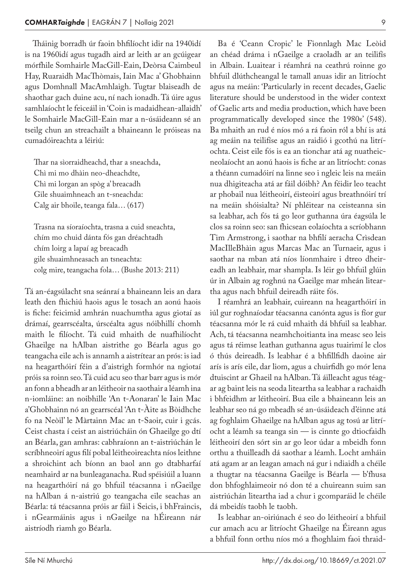Tháinig borradh úr faoin bhfilíocht idir na 1940idí is na 1960idí agus tugadh aird ar leith ar an gcúigear mórfhile Somhairle MacGill-Eain, Deòrsa Caimbeul Hay, Ruaraidh MacThòmais, Iain Mac a' Ghobhainn agus Domhnall MacAmhlaigh. Tugtar blaiseadh de shaothar gach duine acu, ní nach ionadh. Tá úire agus samhlaíocht le feiceáil in 'Coin is madaidhean-allaidh' le Somhairle MacGill-Eain mar a n‑úsáideann sé an tseilg chun an streachailt a bhaineann le próiseas na cumadóireachta a léiriú:

Thar na sìorraidheachd, thar a sneachda, Chì mi mo dhàin neo-dheachdte, Chì mi lorgan an spòg a' breacadh Gile shuaimhneach an t‑sneachda: Calg air bhoile, teanga fala… (617)

Trasna na síoraíochta, trasna a cuid sneachta, chím mo chuid dánta fós gan dréachtadh chím loirg a lapaí ag breacadh gile shuaimhneasach an tsneachta: colg mire, teangacha fola… (Bushe 2013: 211)

Tá an-éagsúlacht sna seánraí a bhaineann leis an dara leath den fhichiú haois agus le tosach an aonú haois is fiche: feicimid amhrán nuachumtha agus giotaí as drámaí, gearrscéalta, úrscéalta agus nóibhillí chomh maith le filíocht. Tá cuid mhaith de nuafhilíocht Ghaeilge na hAlban aistrithe go Béarla agus go teangacha eile ach is annamh a aistrítear an prós: is iad na heagarthóirí féin a d'aistrigh formhór na ngiotaí próis sa roinn seo. Tá cuid acu seo thar barr agus is mór an fonn a bheadh ar an léitheoir na saothair a léamh ina n‑iomláine: an noibhille 'An t‑Aonaran' le Iain Mac a'Ghobhainn nó an gearrscéal 'An t‑Àite as Bòidhche fo na Neòil' le Màrtainn Mac an t‑Saoir, cuir i gcás. Ceist chasta í ceist an aistriúcháin ón Ghaeilge go dtí an Béarla, gan amhras: cabhraíonn an t‑aistriúchán le scríbhneoirí agus filí pobal léitheoireachta níos leithne a shroichint ach bíonn an baol ann go dtabharfaí neamhaird ar na bunleaganacha. Rud spéisiúil a luann na heagarthóirí ná go bhfuil téacsanna i nGaeilge na hAlban á n‑aistriú go teangacha eile seachas an Béarla: tá téacsanna próis ar fáil i Seicis, i bhFraincis, i nGearmáinis agus i nGaeilge na hÉireann nár aistríodh riamh go Béarla.

Ba é 'Ceann Cropic' le Fionnlagh Mac Leòid an chéad dráma i nGaeilge a craoladh ar an teilifís in Albain. Luaitear i réamhrá na ceathrú roinne go bhfuil dlúthcheangal le tamall anuas idir an litríocht agus na meáin: 'Particularly in recent decades, Gaelic literature should be understood in the wider context of Gaelic arts and media production, which have been programmatically developed since the 1980s' (548). Ba mhaith an rud é níos mó a rá faoin ról a bhí is atá ag meáin na teilifíse agus an raidió i gcothú na litríochta. Ceist eile fós is ea an tionchar atá ag nuatheic‑ neolaíocht an aonú haois is fiche ar an litríocht: conas a théann cumadóirí na linne seo i ngleic leis na meáin nua dhigiteacha atá ar fáil dóibh? An féidir leo teacht ar phobail nua léitheoirí, éisteoirí agus breathnóirí trí na meáin shóisialta? Ní phléitear na ceisteanna sin sa leabhar, ach fós tá go leor guthanna úra éagsúla le clos sa roinn seo: san fhicsean eolaíochta a scríobhann Tim Armstrong, i saothar na bhfilí aeracha Crìsdean MacIlleBhàin agus Marcas Mac an Turnaeir, agus i saothar na mban atá níos líonmhaire i dtreo dheireadh an leabhair, mar shampla. Is léir go bhfuil glúin úr in Albain ag roghnú na Gaeilge mar mheán liteartha agus nach bhfuil deireadh ráite fós.

I réamhrá an leabhair, cuireann na heagarthóirí in iúl gur roghnaíodar téacsanna canónta agus is fíor gur téacsanna mór le rá cuid mhaith dá bhfuil sa leabhar. Ach, tá téacsanna neamhchoitianta ina measc seo leis agus tá réimse leathan guthanna agus tuairimí le clos ó thús deireadh. Is leabhar é a bhfillfidh daoine air arís is arís eile, dar liom, agus a chuirfidh go mór lena dtuiscint ar Ghaeil na hAlban. Tá áilleacht agus téagar ag baint leis na seoda liteartha sa leabhar a rachaidh i bhfeidhm ar léitheoirí. Bua eile a bhaineann leis an leabhar seo ná go mbeadh sé an-úsáideach d'éinne atá ag foghlaim Ghaeilge na hAlban agus ag tosú ar litríocht a léamh sa teanga sin — is cinnte go dtiocfaidh léitheoirí den sórt sin ar go leor údar a mbeidh fonn orthu a thuilleadh dá saothar a léamh. Locht amháin atá agam ar an leagan amach ná gur i ndiaidh a chéile a thugtar na téacsanna Gaeilge is Béarla — b'fhusa don bhfoghlaimeoir nó don té a chuireann suim san aistriúchán liteartha iad a chur i gcomparáid le chéile dá mbeidís taobh le taobh.

Is leabhar an-oiriúnach é seo do léitheoirí a bhfuil cur amach acu ar litríocht Ghaeilge na Éireann agus a bhfuil fonn orthu níos mó a fhoghlaim faoi thraid‑